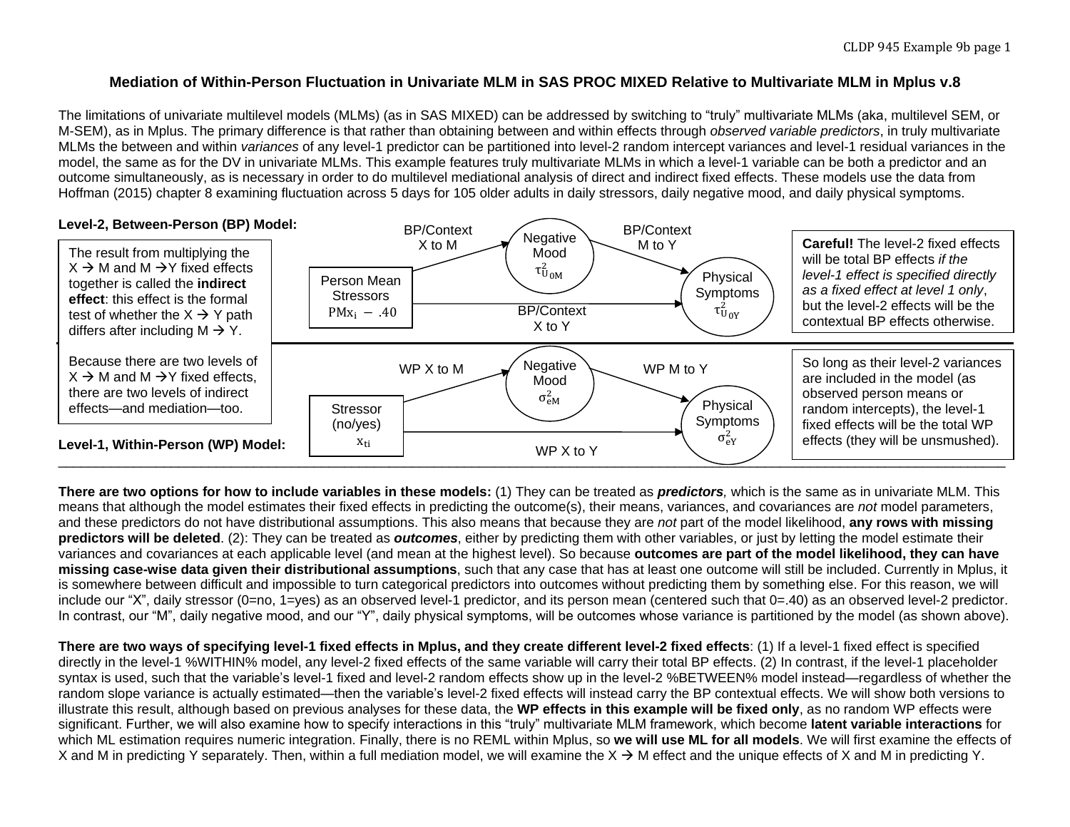### **Mediation of Within-Person Fluctuation in Univariate MLM in SAS PROC MIXED Relative to Multivariate MLM in Mplus v.8**

The limitations of univariate multilevel models (MLMs) (as in SAS MIXED) can be addressed by switching to "truly" multivariate MLMs (aka, multilevel SEM, or M-SEM), as in Mplus. The primary difference is that rather than obtaining between and within effects through *observed variable predictors*, in truly multivariate MLMs the between and within *variances* of any level-1 predictor can be partitioned into level-2 random intercept variances and level-1 residual variances in the model, the same as for the DV in univariate MLMs. This example features truly multivariate MLMs in which a level-1 variable can be both a predictor and an outcome simultaneously, as is necessary in order to do multilevel mediational analysis of direct and indirect fixed effects. These models use the data from Hoffman (2015) chapter 8 examining fluctuation across 5 days for 105 older adults in daily stressors, daily negative mood, and daily physical symptoms.



**There are two options for how to include variables in these models:** (1) They can be treated as *predictors,* which is the same as in univariate MLM. This means that although the model estimates their fixed effects in predicting the outcome(s), their means, variances, and covariances are *not* model parameters, and these predictors do not have distributional assumptions. This also means that because they are *not* part of the model likelihood, **any rows with missing predictors will be deleted**. (2): They can be treated as *outcomes*, either by predicting them with other variables, or just by letting the model estimate their variances and covariances at each applicable level (and mean at the highest level). So because **outcomes are part of the model likelihood, they can have missing case-wise data given their distributional assumptions**, such that any case that has at least one outcome will still be included. Currently in Mplus, it is somewhere between difficult and impossible to turn categorical predictors into outcomes without predicting them by something else. For this reason, we will include our "X", daily stressor (0=no, 1=yes) as an observed level-1 predictor, and its person mean (centered such that 0=.40) as an observed level-2 predictor. In contrast, our "M", daily negative mood, and our "Y", daily physical symptoms, will be outcomes whose variance is partitioned by the model (as shown above).

**There are two ways of specifying level-1 fixed effects in Mplus, and they create different level-2 fixed effects**: (1) If a level-1 fixed effect is specified directly in the level-1 %WITHIN% model, any level-2 fixed effects of the same variable will carry their total BP effects. (2) In contrast, if the level-1 placeholder syntax is used, such that the variable's level-1 fixed and level-2 random effects show up in the level-2 %BETWEEN% model instead—regardless of whether the random slope variance is actually estimated—then the variable's level-2 fixed effects will instead carry the BP contextual effects. We will show both versions to illustrate this result, although based on previous analyses for these data, the **WP effects in this example will be fixed only**, as no random WP effects were significant. Further, we will also examine how to specify interactions in this "truly" multivariate MLM framework, which become **latent variable interactions** for which ML estimation requires numeric integration. Finally, there is no REML within Mplus, so **we will use ML for all models**. We will first examine the effects of X and M in predicting Y separately. Then, within a full mediation model, we will examine the  $X \rightarrow M$  effect and the unique effects of X and M in predicting Y.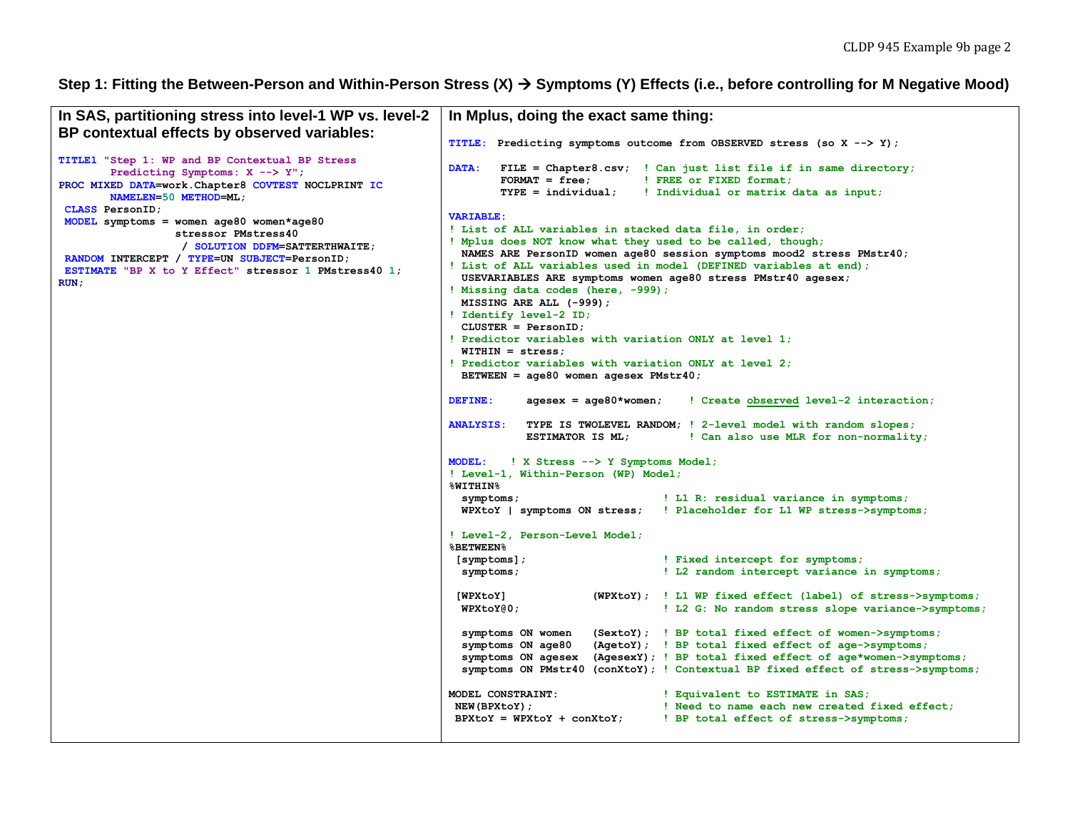## Step 1: Fitting the Between-Person and Within-Person Stress (X) → Symptoms (Y) Effects (i.e., before controlling for M Negative Mood)

| In SAS, partitioning stress into level-1 WP vs. level-2                                                                                                                                                           |                                                                                                                                                                                                                                                                                                                                                                                                                                                                                                                                                                                                                                                                                                                                                                                                                                                                                                                                                                                                                                                                                                                                                                                                                                                                                                                                                                                                                                                                                                                                                                                                                                                                                                                                                                                                                                                                                                                                                                                                                         |
|-------------------------------------------------------------------------------------------------------------------------------------------------------------------------------------------------------------------|-------------------------------------------------------------------------------------------------------------------------------------------------------------------------------------------------------------------------------------------------------------------------------------------------------------------------------------------------------------------------------------------------------------------------------------------------------------------------------------------------------------------------------------------------------------------------------------------------------------------------------------------------------------------------------------------------------------------------------------------------------------------------------------------------------------------------------------------------------------------------------------------------------------------------------------------------------------------------------------------------------------------------------------------------------------------------------------------------------------------------------------------------------------------------------------------------------------------------------------------------------------------------------------------------------------------------------------------------------------------------------------------------------------------------------------------------------------------------------------------------------------------------------------------------------------------------------------------------------------------------------------------------------------------------------------------------------------------------------------------------------------------------------------------------------------------------------------------------------------------------------------------------------------------------------------------------------------------------------------------------------------------------|
| BP contextual effects by observed variables:                                                                                                                                                                      | In Mplus, doing the exact same thing:                                                                                                                                                                                                                                                                                                                                                                                                                                                                                                                                                                                                                                                                                                                                                                                                                                                                                                                                                                                                                                                                                                                                                                                                                                                                                                                                                                                                                                                                                                                                                                                                                                                                                                                                                                                                                                                                                                                                                                                   |
|                                                                                                                                                                                                                   | <b>TITLE:</b><br>Predicting symptoms outcome from OBSERVED stress (so X --> Y);                                                                                                                                                                                                                                                                                                                                                                                                                                                                                                                                                                                                                                                                                                                                                                                                                                                                                                                                                                                                                                                                                                                                                                                                                                                                                                                                                                                                                                                                                                                                                                                                                                                                                                                                                                                                                                                                                                                                         |
| TITLE1 "Step 1: WP and BP Contextual BP Stress<br>Predicting Symptoms: $X$ --> $Y''$ ;<br>PROC MIXED DATA=work. Chapter8 COVTEST NOCLPRINT IC<br>NAMELEN=50 METHOD=ML;<br>CLASS PersonID;                         | <b>DATA:</b><br>FILE = Chapter8.csv; ! Can just list file if in same directory;<br>$FORMAT = free;$<br>! FREE or FIXED format;<br>$TYPE = individual:$<br>! Individual or matrix data as input;                                                                                                                                                                                                                                                                                                                                                                                                                                                                                                                                                                                                                                                                                                                                                                                                                                                                                                                                                                                                                                                                                                                                                                                                                                                                                                                                                                                                                                                                                                                                                                                                                                                                                                                                                                                                                         |
| MODEL symptoms = women age80 women*age80<br>stressor PMstress40<br>/ SOLUTION DDFM=SATTERTHWAITE;<br>RANDOM INTERCEPT / TYPE=UN SUBJECT=PersonID;<br>ESTIMATE "BP X to Y Effect" stressor 1 PMstress40 1;<br>RUN: | <b>VARIABLE:</b><br>! List of ALL variables in stacked data file, in order;<br>! Mplus does NOT know what they used to be called, though;<br>NAMES ARE PersonID women age80 session symptoms mood2 stress PMstr40;<br>! List of ALL variables used in model (DEFINED variables at end);<br>USEVARIABLES ARE symptoms women age80 stress PMstr40 agesex;<br>! Missing data codes (here, -999);<br>MISSING ARE ALL (-999);<br>! Identify level-2 ID;<br>$CLUSTER = PersonID;$<br>! Predictor variables with variation ONLY at level 1;<br>$WITHIN = stress:$<br>! Predictor variables with variation ONLY at level 2;<br>BETWEEN = $age80$ women agesex PMstr40;<br><b>DEFINE:</b><br>$aqesex = aqe80*woman;$<br>! Create observed level-2 interaction;<br><b>ANALYSIS:</b><br>TYPE IS TWOLEVEL RANDOM; ! 2-level model with random slopes;<br>ESTIMATOR IS ML;<br>! Can also use MLR for non-normality;<br><b>MODEL:</b><br>! X Stress --> Y Symptoms Model;<br>! Level-1, Within-Person (WP) Model;<br>%WITHIN%<br>! L1 R: residual variance in symptoms;<br>symptoms;<br>WPXtoY   symptoms ON stress;   Placeholder for L1 WP stress->symptoms;<br>! Level-2, Person-Level Model;<br><b>&amp;BETWEEN%</b><br>! Fixed intercept for symptoms;<br>$[symptoms]$ ;<br>! L2 random intercept variance in symptoms;<br>symptoms;<br>[WPXtoY]<br>(WPXtoY); ! L1 WP fixed effect (label) of stress->symptoms;<br>WPKtoY@0;<br>! L2 G: No random stress slope variance->symptoms;<br>symptoms ON women<br>(SextoY); ! BP total fixed effect of women->symptoms;<br>(AgetoY); ! BP total fixed effect of age->symptoms;<br>symptoms ON age80<br>symptoms ON agesex (AgesexY); ! BP total fixed effect of age*women->symptoms;<br>symptoms ON PMstr40 (conXtoY); ! Contextual BP fixed effect of stress->symptoms;<br>MODEL CONSTRAINT:<br>! Equivalent to ESTIMATE in SAS;<br>NEW(BPXtoY);<br>! Need to name each new created fixed effect;<br>$B P X to Y = W P X to Y + con X to Y;$<br>! BP total effect of stress->symptoms; |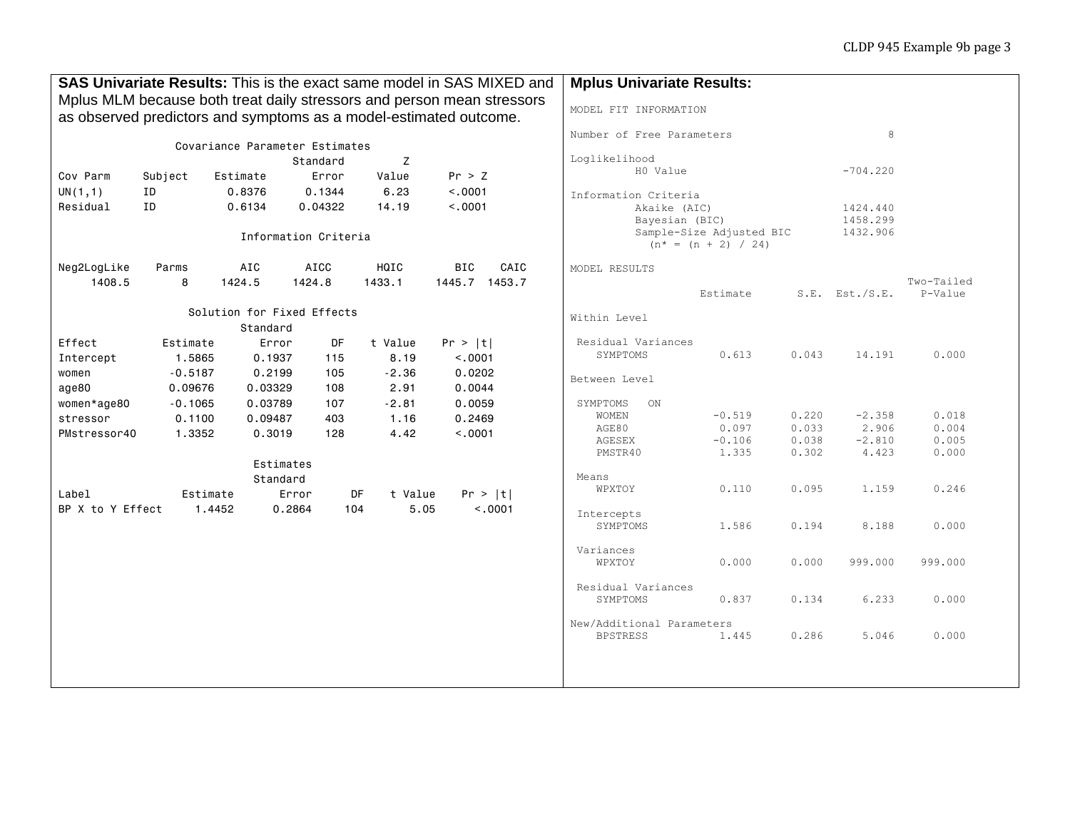| SAS Univariate Results: This is the exact same model in SAS MIXED and  |                      |                                |                      |                 |                           | <b>Mplus Univariate Results:</b> |                                                                    |                        |       |                     |            |
|------------------------------------------------------------------------|----------------------|--------------------------------|----------------------|-----------------|---------------------------|----------------------------------|--------------------------------------------------------------------|------------------------|-------|---------------------|------------|
| Mplus MLM because both treat daily stressors and person mean stressors |                      |                                |                      |                 |                           |                                  |                                                                    |                        |       |                     |            |
| as observed predictors and symptoms as a model-estimated outcome.      |                      |                                |                      |                 |                           |                                  | MODEL FIT INFORMATION                                              |                        |       |                     |            |
|                                                                        |                      |                                |                      |                 | Number of Free Parameters |                                  |                                                                    | 8                      |       |                     |            |
|                                                                        |                      | Covariance Parameter Estimates |                      |                 |                           |                                  |                                                                    |                        |       |                     |            |
|                                                                        |                      |                                | Standard             | Z               | Loglikelihood<br>H0 Value |                                  |                                                                    | $-704.220$             |       |                     |            |
| Cov Parm                                                               | Subject              | Estimate                       | Error                | Value           | Pr > Z                    |                                  |                                                                    |                        |       |                     |            |
| UN(1,1)                                                                | ID                   | 0.8376                         | 0.1344               | 6.23            | < .0001                   |                                  | Information Criteria                                               |                        |       |                     |            |
| Residual                                                               | ID                   | 0.6134                         | 0.04322              | 14.19           | < 0.001                   |                                  | Akaike (AIC)                                                       |                        |       | 1424.440            |            |
|                                                                        |                      |                                |                      |                 |                           |                                  | 1458.299<br>Bayesian (BIC)<br>Sample-Size Adjusted BIC<br>1432.906 |                        |       |                     |            |
|                                                                        |                      |                                | Information Criteria |                 |                           |                                  |                                                                    | $(n^* = (n + 2) / 24)$ |       |                     |            |
| Neg2LogLike                                                            | Parms                | AIC                            | <b>AICC</b>          | HQIC            | <b>BIC</b>                | CAIC                             | MODEL RESULTS                                                      |                        |       |                     |            |
| 1408.5                                                                 | 8                    | 1424.5                         | 1424.8               | 1433.1          |                           | 1445.7 1453.7                    |                                                                    |                        |       |                     | Two-Tailed |
|                                                                        |                      |                                |                      |                 |                           |                                  |                                                                    | Estimate               |       | $S.E.$ Est./ $S.E.$ | P-Value    |
|                                                                        |                      | Solution for Fixed Effects     |                      |                 |                           |                                  | Within Level                                                       |                        |       |                     |            |
|                                                                        |                      | Standard                       |                      |                 |                           |                                  |                                                                    |                        |       |                     |            |
| Effect                                                                 | Estimate             | Error                          | DF                   | t Value         | Pr >  t                   |                                  | Residual Variances<br>SYMPTOMS                                     | 0.613                  | 0.043 | 14.191              | 0.000      |
| Intercept                                                              | 1.5865               | 0.1937                         | 115                  | 8.19            | < .0001                   |                                  |                                                                    |                        |       |                     |            |
| women                                                                  | $-0.5187$<br>0.09676 | 0.2199<br>0.03329              | 105                  | $-2.36$<br>2.91 | 0.0202<br>0.0044          |                                  | Between Level                                                      |                        |       |                     |            |
| age80                                                                  | $-0.1065$            | 0.03789                        | 108<br>107           | $-2.81$         | 0.0059                    |                                  |                                                                    |                        |       |                     |            |
| women*age80<br>stressor                                                | 0.1100               | 0.09487                        | 403                  | 1.16            | 0.2469                    |                                  | SYMPTOMS<br>ON<br>WOMEN                                            | $-0.519$               | 0.220 | $-2.358$            | 0.018      |
| PMstressor40                                                           | 1.3352               | 0.3019                         | 128                  | 4.42            | < .0001                   |                                  | AGE80                                                              | 0.097                  | 0.033 | 2.906               | 0.004      |
|                                                                        |                      |                                |                      |                 |                           |                                  | AGESEX                                                             | $-0.106$               | 0.038 | $-2.810$            | 0.005      |
|                                                                        |                      |                                | Estimates            |                 |                           |                                  | PMSTR40                                                            | 1.335                  | 0.302 | 4.423               | 0.000      |
|                                                                        |                      |                                | Standard             |                 | Means                     |                                  |                                                                    |                        |       |                     |            |
| Label                                                                  |                      | Estimate                       | Error                | DF<br>t Value   |                           | Pr >  t                          | WPXTOY                                                             | 0.110                  | 0.095 | 1.159               | 0.246      |
| BP X to Y Effect                                                       |                      | 1.4452                         | 0.2864               | 104<br>5.05     |                           | < .0001                          |                                                                    |                        |       |                     |            |
|                                                                        |                      |                                |                      |                 |                           |                                  | Intercepts                                                         |                        |       |                     |            |
|                                                                        |                      |                                |                      |                 |                           |                                  | SYMPTOMS                                                           | 1.586                  | 0.194 | 8.188               | 0.000      |
|                                                                        |                      |                                |                      |                 |                           |                                  | Variances                                                          |                        |       |                     |            |
|                                                                        |                      |                                |                      |                 |                           |                                  | WPXTOY                                                             | 0.000                  | 0.000 | 999.000             | 999.000    |
|                                                                        |                      |                                |                      |                 |                           |                                  | Residual Variances                                                 |                        |       |                     |            |
|                                                                        |                      |                                |                      |                 |                           |                                  | SYMPTOMS                                                           | 0.837                  | 0.134 | 6.233               | 0.000      |
|                                                                        |                      |                                |                      |                 |                           |                                  | New/Additional Parameters                                          |                        |       |                     |            |
|                                                                        |                      |                                |                      |                 |                           |                                  | <b>BPSTRESS</b>                                                    | 1.445                  | 0.286 | 5.046               | 0.000      |
|                                                                        |                      |                                |                      |                 |                           |                                  |                                                                    |                        |       |                     |            |
|                                                                        |                      |                                |                      |                 |                           |                                  |                                                                    |                        |       |                     |            |
|                                                                        |                      |                                |                      |                 |                           |                                  |                                                                    |                        |       |                     |            |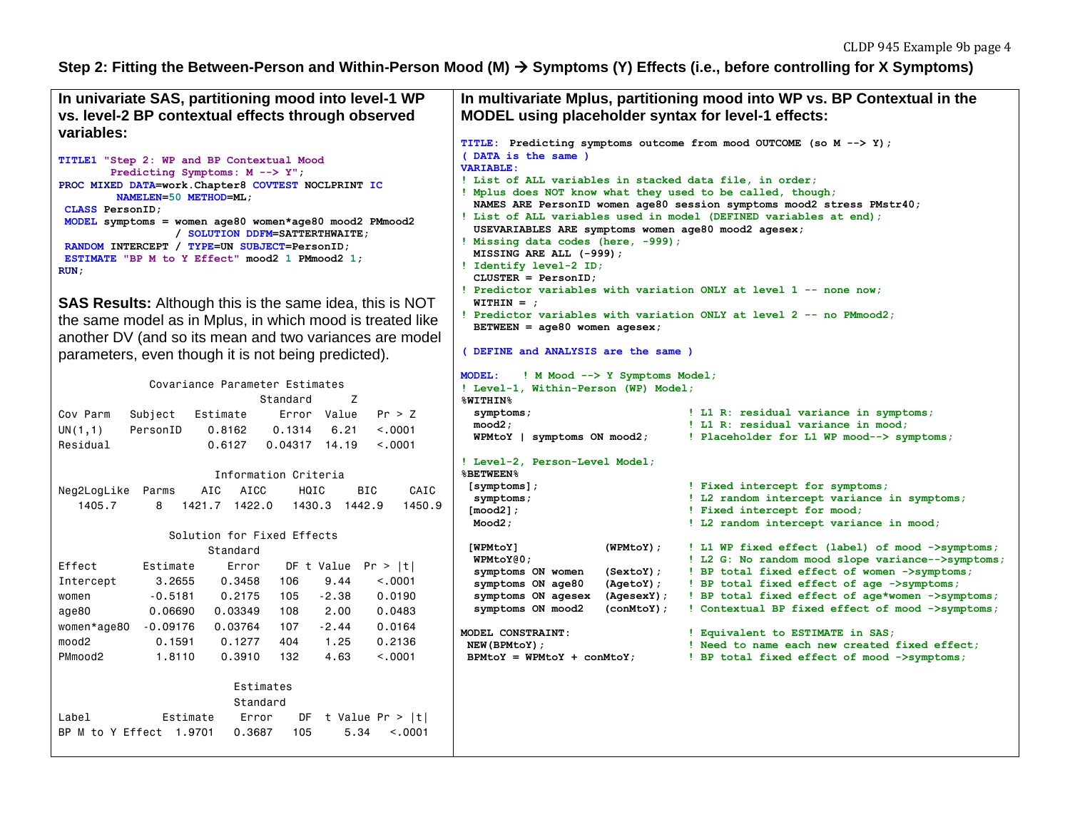# Step 2: Fitting the Between-Person and Within-Person Mood (M)  $\rightarrow$  Symptoms (Y) Effects (i.e., before controlling for X Symptoms)

| In univariate SAS, partitioning mood into level-1 WP                                                                                                                                                                                                                                                                                                                                                                                                   | In multivariate Mplus, partitioning mood into WP vs. BP Contextual in the                                                                                                                                                                                                                                                                                                                                                                                                                                                                                                                                                                                                                                    |  |  |  |
|--------------------------------------------------------------------------------------------------------------------------------------------------------------------------------------------------------------------------------------------------------------------------------------------------------------------------------------------------------------------------------------------------------------------------------------------------------|--------------------------------------------------------------------------------------------------------------------------------------------------------------------------------------------------------------------------------------------------------------------------------------------------------------------------------------------------------------------------------------------------------------------------------------------------------------------------------------------------------------------------------------------------------------------------------------------------------------------------------------------------------------------------------------------------------------|--|--|--|
| vs. level-2 BP contextual effects through observed                                                                                                                                                                                                                                                                                                                                                                                                     | MODEL using placeholder syntax for level-1 effects:                                                                                                                                                                                                                                                                                                                                                                                                                                                                                                                                                                                                                                                          |  |  |  |
| variables:                                                                                                                                                                                                                                                                                                                                                                                                                                             |                                                                                                                                                                                                                                                                                                                                                                                                                                                                                                                                                                                                                                                                                                              |  |  |  |
| TITLE1 "Step 2: WP and BP Contextual Mood<br>Predicting Symptoms: M --> Y";<br>PROC MIXED DATA=work.Chapter8 COVTEST NOCLPRINT IC<br>NAMELEN=50 METHOD=ML;<br>CLASS PersonID;<br>MODEL symptoms = women age80 women*age80 mood2 PMmood2<br>/ SOLUTION DDFM=SATTERTHWAITE:<br>RANDOM INTERCEPT / TYPE=UN SUBJECT=PersonID;<br>ESTIMATE "BP M to Y Effect" mood2 1 PMmood2 1;<br>RUN:<br><b>SAS Results:</b> Although this is the same idea, this is NOT | TITLE: Predicting symptoms outcome from mood OUTCOME (so M --> Y);<br>(DATA is the same)<br><b>VARIABLE:</b><br>! List of ALL variables in stacked data file, in order;<br>! Mplus does NOT know what they used to be called, though;<br>NAMES ARE PersonID women age80 session symptoms mood2 stress PMstr40;<br>! List of ALL variables used in model (DEFINED variables at end);<br>USEVARIABLES ARE symptoms women age80 mood2 agesex;<br>! Missing data codes (here, -999);<br>MISSING ARE ALL (-999);<br>! Identify level-2 ID;<br>$CLUSTER = PersonID;$<br>! Predictor variables with variation ONLY at level 1 -- none now;<br>$WITHIN =$                                                            |  |  |  |
| the same model as in Mplus, in which mood is treated like                                                                                                                                                                                                                                                                                                                                                                                              | ! Predictor variables with variation ONLY at level 2 -- no PMmood2;<br>BETWEEN = $age80$ women agesex;                                                                                                                                                                                                                                                                                                                                                                                                                                                                                                                                                                                                       |  |  |  |
| another DV (and so its mean and two variances are model                                                                                                                                                                                                                                                                                                                                                                                                |                                                                                                                                                                                                                                                                                                                                                                                                                                                                                                                                                                                                                                                                                                              |  |  |  |
| parameters, even though it is not being predicted).                                                                                                                                                                                                                                                                                                                                                                                                    | (DEFINE and ANALYSIS are the same )                                                                                                                                                                                                                                                                                                                                                                                                                                                                                                                                                                                                                                                                          |  |  |  |
| Covariance Parameter Estimates<br>Z<br>Standard<br>Cov Parm<br>Error Value<br>Pr > Z<br>Subject<br>Estimate<br>UN(1,1)<br>< 0.001<br>PersonID<br>0.8162<br>0.1314<br>6.21<br>Residual<br>0.6127<br>< 0.0001<br>$0.04317$ 14.19                                                                                                                                                                                                                         | <b>MODEL:</b><br>! M Mood --> Y Symptoms Model;<br>! Level-1, Within-Person (WP) Model;<br>%WITHIN%<br>! L1 R: residual variance in symptoms;<br>symptoms;<br>mood2;<br>! L1 R: residual variance in mood;<br>! Placeholder for L1 WP mood--> symptoms;<br>WPMtoY   symptoms ON mood2;<br>! Level-2, Person-Level Model;                                                                                                                                                                                                                                                                                                                                                                                     |  |  |  |
| Information Criteria<br><b>BIC</b><br><b>AIC</b><br><b>AICC</b><br>HQIC<br>CAIC<br>Neg2LogLike Parms<br>1405.7<br>1421.7 1422.0<br>1430.3 1442.9<br>1450.9<br>8                                                                                                                                                                                                                                                                                        | <b>&amp;BETWEEN%</b><br>! Fixed intercept for symptoms;<br>$[symptoms]$ ;<br>! L2 random intercept variance in symptoms;<br>symptoms;<br>$[mod2]$ ;<br>! Fixed intercept for mood;<br>Mod2;<br>! L2 random intercept variance in mood;                                                                                                                                                                                                                                                                                                                                                                                                                                                                       |  |  |  |
| Solution for Fixed Effects                                                                                                                                                                                                                                                                                                                                                                                                                             |                                                                                                                                                                                                                                                                                                                                                                                                                                                                                                                                                                                                                                                                                                              |  |  |  |
| Standard<br>Effect<br>Estimate<br>DF t Value $Pr >  t $<br>Error<br>Intercept<br>3,2655<br>0.3458<br>9.44<br>< 0.001<br>106<br>$-2.38$<br>women<br>$-0.5181$<br>0.2175<br>105<br>0.0190<br>0.03349<br>age80<br>0.06690<br>108<br>2,00<br>0.0483<br>$-0.09176$<br>0.03764<br>$-2.44$<br>0.0164<br>women*age80<br>107<br>mood2<br>0.1591<br>0.1277<br>404<br>1.25<br>0.2136<br>PMmood2<br>1,8110<br>0.3910<br>132<br>4.63<br>< 0.001                     | [WPMtoY]<br>(WPMtoY);<br>! L1 WP fixed effect (label) of mood ->symptoms;<br>WPMtoY@0;<br>! L2 G: No random mood slope variance-->symptoms;<br>! BP total fixed effect of women ->symptoms;<br>symptoms ON women<br>$(SextoY)$ ;<br>symptoms ON age80<br>(AgetoY);<br>! BP total fixed effect of age ->symptoms;<br>symptoms ON agesex<br>(AgesexY);<br>! BP total fixed effect of age*women ->symptoms;<br>symptoms ON mood2<br>! Contextual BP fixed effect of mood ->symptoms;<br>$(conMtoY)$ ;<br>MODEL CONSTRAINT:<br>! Equivalent to ESTIMATE in SAS;<br>NEW (BPMtoY);<br>! Need to name each new created fixed effect;<br>$BPMtoY = WHMtoY + conMtoY;$<br>! BP total fixed effect of mood ->symptoms; |  |  |  |
| Estimates<br>Standard<br>Label<br>Estimate<br>Error<br>DF t Value $Pr >  t $<br>BP M to Y Effect 1.9701<br>0.3687<br>105<br>5.34<br>< 0.0001                                                                                                                                                                                                                                                                                                           |                                                                                                                                                                                                                                                                                                                                                                                                                                                                                                                                                                                                                                                                                                              |  |  |  |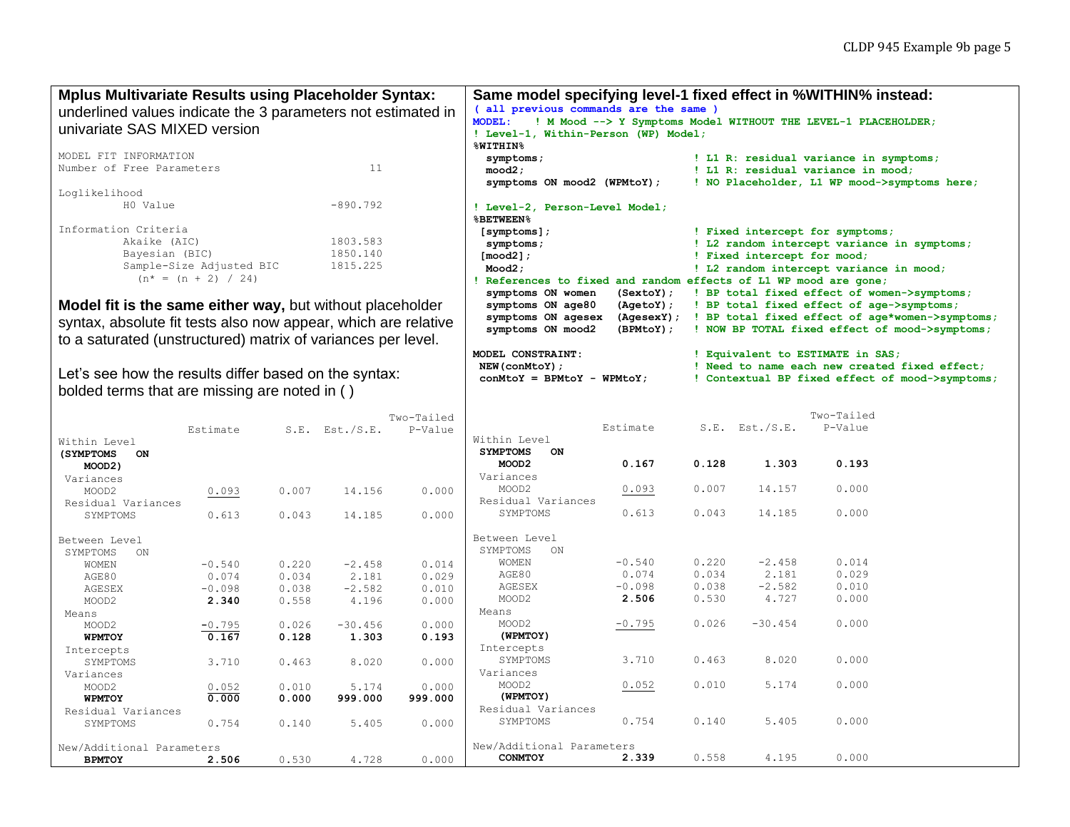| (all previous commands are the same )<br>underlined values indicate the 3 parameters not estimated in<br><b>MODEL:</b><br>! M Mood --> Y Symptoms Model WITHOUT THE LEVEL-1 PLACEHOLDER;<br>univariate SAS MIXED version<br>! Level-1, Within-Person (WP) Model;<br><b>%WITHIN%</b><br>MODEL FIT INFORMATION<br>! L1 R: residual variance in symptoms;<br>symptoms;<br>11<br>Number of Free Parameters<br>mod2;<br>! L1 R: residual variance in mood;<br>symptoms ON mood2 (WPMtoY);<br>! NO Placeholder, L1 WP mood->symptoms here;<br>Loglikelihood<br>H0 Value<br>$-890.792$<br>! Level-2, Person-Level Model;<br><b>&amp;BETWEEN&amp;</b><br>Information Criteria<br>! Fixed intercept for symptoms;<br>$[symptoms]$ ;<br>Akaike (AIC)<br>1803.583<br>! L2 random intercept variance in symptoms;<br>symptoms;<br>1850.140<br>Bayesian (BIC)<br>$[{\sf mood2}]$ ;<br>! Fixed intercept for mood;<br>Sample-Size Adjusted BIC<br>1815.225<br>Mod2;<br>! L2 random intercept variance in mood;<br>$(n^* = (n + 2) / 24)$<br>References to fixed and random effects of L1 WP mood are gone;<br>symptoms ON women<br>(SextoY);<br>! BP total fixed effect of women->symptoms;<br>Model fit is the same either way, but without placeholder<br>symptoms ON age80<br>(AgetoY);<br>! BP total fixed effect of age->symptoms;<br>symptoms ON agesex<br>(AgesexY); ! BP total fixed effect of age*women->symptoms;<br>syntax, absolute fit tests also now appear, which are relative<br>symptoms ON mood2<br>(BPMLoY);<br>! NOW BP TOTAL fixed effect of mood->symptoms;<br>to a saturated (unstructured) matrix of variances per level.<br>MODEL CONSTRAINT:<br>! Equivalent to ESTIMATE in SAS;<br>NEW (conMtoY) ;<br>! Need to name each new created fixed effect;<br>Let's see how the results differ based on the syntax:<br>$conMtoY = BPMtoY - WPMtoY;$<br>! Contextual BP fixed effect of mood->symptoms;<br>bolded terms that are missing are noted in ()<br>Two-Tailed<br>Two-Tailed<br>Estimate<br>$S.E.$ Est./S.E.<br>P-Value<br>$S.E.$ Est./S.E.<br>Estimate<br>P-Value<br>Within Level<br>Within Level<br><b>SYMPTOMS</b><br>ON<br>(SYMPTOMS<br>ON<br>0.128<br>0.167<br>0.193<br>MOOD <sub>2</sub><br>1.303<br>MOOD2)<br>Variances<br>Variances<br>0.007<br>14.157<br>0.000<br>MOOD2<br>0.093<br>0.093<br>14.156<br>0.000<br>MOOD2<br>0.007<br>Residual Variances<br>Residual Variances<br>SYMPTOMS<br>0.613<br>0.043<br>14.185<br>0.000<br>0.613<br>14.185<br>SYMPTOMS<br>0.043<br>0.000<br>Between Level<br>Between Level<br>SYMPTOMS<br>ON<br>SYMPTOMS<br>ON<br>0.220<br>$-2.458$<br>0.014<br>$-0.540$<br>WOMEN<br>$-2.458$<br>0.014<br>$-0.540$<br>0.220<br>WOMEN<br>0.034<br>0.074<br>2.181<br>0.029<br>AGE80<br>2.181<br>0.029<br>0.074<br>0.034<br>AGE80<br>$-0.098$<br>0.038<br>$-2.582$<br>0.010<br>AGESEX<br>$-0.098$<br>0.038<br>$-2.582$<br>0.010<br>AGESEX<br>2.506<br>0.530<br>4.727<br>0.000<br>MOOD2<br>0.558<br>4.196<br>MOOD2<br>2.340<br>0.000<br>Means<br>Means<br>$-0.795$<br>0.026<br>$-30.454$<br>0.000<br>MOOD2<br>$-0.795$<br>0.026<br>$-30.456$<br>0.000<br>MOOD2<br>(WPMTOY)<br>0.167<br>0.128<br>1.303<br>0.193<br>WPMTOY<br>Intercepts<br>Intercepts<br>SYMPTOMS<br>3.710<br>0.463<br>8.020<br>0.000<br>3.710<br>0.463<br>8.020<br>0.000<br>SYMPTOMS<br>Variances<br>Variances<br>0.010<br>MOOD2<br>0.052<br>5.174<br>0.000<br>0.010<br>5.174<br>0.000<br>MOOD2<br>0.052<br>(WPMTOY)<br>0.000<br>0.000<br>999.000<br>999.000<br><b>WPMTOY</b><br>Residual Variances<br>Residual Variances<br>0.754<br>0.140<br>SYMPTOMS<br>5.405<br>0.000<br>0.754<br>0.140<br>5.405<br>0.000<br>SYMPTOMS<br>New/Additional Parameters<br>New/Additional Parameters<br>0.558<br>0.000<br>2.339<br>4.195<br>CONMTOY<br>0.530<br>4.728<br>0.000<br><b>BPMTOY</b><br>2.506 | <b>Mplus Multivariate Results using Placeholder Syntax:</b> |  |  |  |  | Same model specifying level-1 fixed effect in %WITHIN% instead: |  |  |  |  |  |
|-----------------------------------------------------------------------------------------------------------------------------------------------------------------------------------------------------------------------------------------------------------------------------------------------------------------------------------------------------------------------------------------------------------------------------------------------------------------------------------------------------------------------------------------------------------------------------------------------------------------------------------------------------------------------------------------------------------------------------------------------------------------------------------------------------------------------------------------------------------------------------------------------------------------------------------------------------------------------------------------------------------------------------------------------------------------------------------------------------------------------------------------------------------------------------------------------------------------------------------------------------------------------------------------------------------------------------------------------------------------------------------------------------------------------------------------------------------------------------------------------------------------------------------------------------------------------------------------------------------------------------------------------------------------------------------------------------------------------------------------------------------------------------------------------------------------------------------------------------------------------------------------------------------------------------------------------------------------------------------------------------------------------------------------------------------------------------------------------------------------------------------------------------------------------------------------------------------------------------------------------------------------------------------------------------------------------------------------------------------------------------------------------------------------------------------------------------------------------------------------------------------------------------------------------------------------------------------------------------------------------------------------------------------------------------------------------------------------------------------------------------------------------------------------------------------------------------------------------------------------------------------------------------------------------------------------------------------------------------------------------------------------------------------------------------------------------------------------------------------------------------------------------------------------------------------------------------------------------------------------------------------------------------------------------------------------------------------------------------------------------------------------------------------------------------------------------------------------------------------------------------------------------------------------------------------------------------------------------------------------------------------------------------------------------------------------------------------------------------------------------------------------------------------------------|-------------------------------------------------------------|--|--|--|--|-----------------------------------------------------------------|--|--|--|--|--|
|                                                                                                                                                                                                                                                                                                                                                                                                                                                                                                                                                                                                                                                                                                                                                                                                                                                                                                                                                                                                                                                                                                                                                                                                                                                                                                                                                                                                                                                                                                                                                                                                                                                                                                                                                                                                                                                                                                                                                                                                                                                                                                                                                                                                                                                                                                                                                                                                                                                                                                                                                                                                                                                                                                                                                                                                                                                                                                                                                                                                                                                                                                                                                                                                                                                                                                                                                                                                                                                                                                                                                                                                                                                                                                                                                                                               |                                                             |  |  |  |  |                                                                 |  |  |  |  |  |
|                                                                                                                                                                                                                                                                                                                                                                                                                                                                                                                                                                                                                                                                                                                                                                                                                                                                                                                                                                                                                                                                                                                                                                                                                                                                                                                                                                                                                                                                                                                                                                                                                                                                                                                                                                                                                                                                                                                                                                                                                                                                                                                                                                                                                                                                                                                                                                                                                                                                                                                                                                                                                                                                                                                                                                                                                                                                                                                                                                                                                                                                                                                                                                                                                                                                                                                                                                                                                                                                                                                                                                                                                                                                                                                                                                                               |                                                             |  |  |  |  |                                                                 |  |  |  |  |  |
|                                                                                                                                                                                                                                                                                                                                                                                                                                                                                                                                                                                                                                                                                                                                                                                                                                                                                                                                                                                                                                                                                                                                                                                                                                                                                                                                                                                                                                                                                                                                                                                                                                                                                                                                                                                                                                                                                                                                                                                                                                                                                                                                                                                                                                                                                                                                                                                                                                                                                                                                                                                                                                                                                                                                                                                                                                                                                                                                                                                                                                                                                                                                                                                                                                                                                                                                                                                                                                                                                                                                                                                                                                                                                                                                                                                               |                                                             |  |  |  |  |                                                                 |  |  |  |  |  |
|                                                                                                                                                                                                                                                                                                                                                                                                                                                                                                                                                                                                                                                                                                                                                                                                                                                                                                                                                                                                                                                                                                                                                                                                                                                                                                                                                                                                                                                                                                                                                                                                                                                                                                                                                                                                                                                                                                                                                                                                                                                                                                                                                                                                                                                                                                                                                                                                                                                                                                                                                                                                                                                                                                                                                                                                                                                                                                                                                                                                                                                                                                                                                                                                                                                                                                                                                                                                                                                                                                                                                                                                                                                                                                                                                                                               |                                                             |  |  |  |  |                                                                 |  |  |  |  |  |
|                                                                                                                                                                                                                                                                                                                                                                                                                                                                                                                                                                                                                                                                                                                                                                                                                                                                                                                                                                                                                                                                                                                                                                                                                                                                                                                                                                                                                                                                                                                                                                                                                                                                                                                                                                                                                                                                                                                                                                                                                                                                                                                                                                                                                                                                                                                                                                                                                                                                                                                                                                                                                                                                                                                                                                                                                                                                                                                                                                                                                                                                                                                                                                                                                                                                                                                                                                                                                                                                                                                                                                                                                                                                                                                                                                                               |                                                             |  |  |  |  |                                                                 |  |  |  |  |  |
|                                                                                                                                                                                                                                                                                                                                                                                                                                                                                                                                                                                                                                                                                                                                                                                                                                                                                                                                                                                                                                                                                                                                                                                                                                                                                                                                                                                                                                                                                                                                                                                                                                                                                                                                                                                                                                                                                                                                                                                                                                                                                                                                                                                                                                                                                                                                                                                                                                                                                                                                                                                                                                                                                                                                                                                                                                                                                                                                                                                                                                                                                                                                                                                                                                                                                                                                                                                                                                                                                                                                                                                                                                                                                                                                                                                               |                                                             |  |  |  |  |                                                                 |  |  |  |  |  |
|                                                                                                                                                                                                                                                                                                                                                                                                                                                                                                                                                                                                                                                                                                                                                                                                                                                                                                                                                                                                                                                                                                                                                                                                                                                                                                                                                                                                                                                                                                                                                                                                                                                                                                                                                                                                                                                                                                                                                                                                                                                                                                                                                                                                                                                                                                                                                                                                                                                                                                                                                                                                                                                                                                                                                                                                                                                                                                                                                                                                                                                                                                                                                                                                                                                                                                                                                                                                                                                                                                                                                                                                                                                                                                                                                                                               |                                                             |  |  |  |  |                                                                 |  |  |  |  |  |
|                                                                                                                                                                                                                                                                                                                                                                                                                                                                                                                                                                                                                                                                                                                                                                                                                                                                                                                                                                                                                                                                                                                                                                                                                                                                                                                                                                                                                                                                                                                                                                                                                                                                                                                                                                                                                                                                                                                                                                                                                                                                                                                                                                                                                                                                                                                                                                                                                                                                                                                                                                                                                                                                                                                                                                                                                                                                                                                                                                                                                                                                                                                                                                                                                                                                                                                                                                                                                                                                                                                                                                                                                                                                                                                                                                                               |                                                             |  |  |  |  |                                                                 |  |  |  |  |  |
|                                                                                                                                                                                                                                                                                                                                                                                                                                                                                                                                                                                                                                                                                                                                                                                                                                                                                                                                                                                                                                                                                                                                                                                                                                                                                                                                                                                                                                                                                                                                                                                                                                                                                                                                                                                                                                                                                                                                                                                                                                                                                                                                                                                                                                                                                                                                                                                                                                                                                                                                                                                                                                                                                                                                                                                                                                                                                                                                                                                                                                                                                                                                                                                                                                                                                                                                                                                                                                                                                                                                                                                                                                                                                                                                                                                               |                                                             |  |  |  |  |                                                                 |  |  |  |  |  |
|                                                                                                                                                                                                                                                                                                                                                                                                                                                                                                                                                                                                                                                                                                                                                                                                                                                                                                                                                                                                                                                                                                                                                                                                                                                                                                                                                                                                                                                                                                                                                                                                                                                                                                                                                                                                                                                                                                                                                                                                                                                                                                                                                                                                                                                                                                                                                                                                                                                                                                                                                                                                                                                                                                                                                                                                                                                                                                                                                                                                                                                                                                                                                                                                                                                                                                                                                                                                                                                                                                                                                                                                                                                                                                                                                                                               |                                                             |  |  |  |  |                                                                 |  |  |  |  |  |
|                                                                                                                                                                                                                                                                                                                                                                                                                                                                                                                                                                                                                                                                                                                                                                                                                                                                                                                                                                                                                                                                                                                                                                                                                                                                                                                                                                                                                                                                                                                                                                                                                                                                                                                                                                                                                                                                                                                                                                                                                                                                                                                                                                                                                                                                                                                                                                                                                                                                                                                                                                                                                                                                                                                                                                                                                                                                                                                                                                                                                                                                                                                                                                                                                                                                                                                                                                                                                                                                                                                                                                                                                                                                                                                                                                                               |                                                             |  |  |  |  |                                                                 |  |  |  |  |  |
|                                                                                                                                                                                                                                                                                                                                                                                                                                                                                                                                                                                                                                                                                                                                                                                                                                                                                                                                                                                                                                                                                                                                                                                                                                                                                                                                                                                                                                                                                                                                                                                                                                                                                                                                                                                                                                                                                                                                                                                                                                                                                                                                                                                                                                                                                                                                                                                                                                                                                                                                                                                                                                                                                                                                                                                                                                                                                                                                                                                                                                                                                                                                                                                                                                                                                                                                                                                                                                                                                                                                                                                                                                                                                                                                                                                               |                                                             |  |  |  |  |                                                                 |  |  |  |  |  |
|                                                                                                                                                                                                                                                                                                                                                                                                                                                                                                                                                                                                                                                                                                                                                                                                                                                                                                                                                                                                                                                                                                                                                                                                                                                                                                                                                                                                                                                                                                                                                                                                                                                                                                                                                                                                                                                                                                                                                                                                                                                                                                                                                                                                                                                                                                                                                                                                                                                                                                                                                                                                                                                                                                                                                                                                                                                                                                                                                                                                                                                                                                                                                                                                                                                                                                                                                                                                                                                                                                                                                                                                                                                                                                                                                                                               |                                                             |  |  |  |  |                                                                 |  |  |  |  |  |
|                                                                                                                                                                                                                                                                                                                                                                                                                                                                                                                                                                                                                                                                                                                                                                                                                                                                                                                                                                                                                                                                                                                                                                                                                                                                                                                                                                                                                                                                                                                                                                                                                                                                                                                                                                                                                                                                                                                                                                                                                                                                                                                                                                                                                                                                                                                                                                                                                                                                                                                                                                                                                                                                                                                                                                                                                                                                                                                                                                                                                                                                                                                                                                                                                                                                                                                                                                                                                                                                                                                                                                                                                                                                                                                                                                                               |                                                             |  |  |  |  |                                                                 |  |  |  |  |  |
|                                                                                                                                                                                                                                                                                                                                                                                                                                                                                                                                                                                                                                                                                                                                                                                                                                                                                                                                                                                                                                                                                                                                                                                                                                                                                                                                                                                                                                                                                                                                                                                                                                                                                                                                                                                                                                                                                                                                                                                                                                                                                                                                                                                                                                                                                                                                                                                                                                                                                                                                                                                                                                                                                                                                                                                                                                                                                                                                                                                                                                                                                                                                                                                                                                                                                                                                                                                                                                                                                                                                                                                                                                                                                                                                                                                               |                                                             |  |  |  |  |                                                                 |  |  |  |  |  |
|                                                                                                                                                                                                                                                                                                                                                                                                                                                                                                                                                                                                                                                                                                                                                                                                                                                                                                                                                                                                                                                                                                                                                                                                                                                                                                                                                                                                                                                                                                                                                                                                                                                                                                                                                                                                                                                                                                                                                                                                                                                                                                                                                                                                                                                                                                                                                                                                                                                                                                                                                                                                                                                                                                                                                                                                                                                                                                                                                                                                                                                                                                                                                                                                                                                                                                                                                                                                                                                                                                                                                                                                                                                                                                                                                                                               |                                                             |  |  |  |  |                                                                 |  |  |  |  |  |
|                                                                                                                                                                                                                                                                                                                                                                                                                                                                                                                                                                                                                                                                                                                                                                                                                                                                                                                                                                                                                                                                                                                                                                                                                                                                                                                                                                                                                                                                                                                                                                                                                                                                                                                                                                                                                                                                                                                                                                                                                                                                                                                                                                                                                                                                                                                                                                                                                                                                                                                                                                                                                                                                                                                                                                                                                                                                                                                                                                                                                                                                                                                                                                                                                                                                                                                                                                                                                                                                                                                                                                                                                                                                                                                                                                                               |                                                             |  |  |  |  |                                                                 |  |  |  |  |  |
|                                                                                                                                                                                                                                                                                                                                                                                                                                                                                                                                                                                                                                                                                                                                                                                                                                                                                                                                                                                                                                                                                                                                                                                                                                                                                                                                                                                                                                                                                                                                                                                                                                                                                                                                                                                                                                                                                                                                                                                                                                                                                                                                                                                                                                                                                                                                                                                                                                                                                                                                                                                                                                                                                                                                                                                                                                                                                                                                                                                                                                                                                                                                                                                                                                                                                                                                                                                                                                                                                                                                                                                                                                                                                                                                                                                               |                                                             |  |  |  |  |                                                                 |  |  |  |  |  |
|                                                                                                                                                                                                                                                                                                                                                                                                                                                                                                                                                                                                                                                                                                                                                                                                                                                                                                                                                                                                                                                                                                                                                                                                                                                                                                                                                                                                                                                                                                                                                                                                                                                                                                                                                                                                                                                                                                                                                                                                                                                                                                                                                                                                                                                                                                                                                                                                                                                                                                                                                                                                                                                                                                                                                                                                                                                                                                                                                                                                                                                                                                                                                                                                                                                                                                                                                                                                                                                                                                                                                                                                                                                                                                                                                                                               |                                                             |  |  |  |  |                                                                 |  |  |  |  |  |
|                                                                                                                                                                                                                                                                                                                                                                                                                                                                                                                                                                                                                                                                                                                                                                                                                                                                                                                                                                                                                                                                                                                                                                                                                                                                                                                                                                                                                                                                                                                                                                                                                                                                                                                                                                                                                                                                                                                                                                                                                                                                                                                                                                                                                                                                                                                                                                                                                                                                                                                                                                                                                                                                                                                                                                                                                                                                                                                                                                                                                                                                                                                                                                                                                                                                                                                                                                                                                                                                                                                                                                                                                                                                                                                                                                                               |                                                             |  |  |  |  |                                                                 |  |  |  |  |  |
|                                                                                                                                                                                                                                                                                                                                                                                                                                                                                                                                                                                                                                                                                                                                                                                                                                                                                                                                                                                                                                                                                                                                                                                                                                                                                                                                                                                                                                                                                                                                                                                                                                                                                                                                                                                                                                                                                                                                                                                                                                                                                                                                                                                                                                                                                                                                                                                                                                                                                                                                                                                                                                                                                                                                                                                                                                                                                                                                                                                                                                                                                                                                                                                                                                                                                                                                                                                                                                                                                                                                                                                                                                                                                                                                                                                               |                                                             |  |  |  |  |                                                                 |  |  |  |  |  |
|                                                                                                                                                                                                                                                                                                                                                                                                                                                                                                                                                                                                                                                                                                                                                                                                                                                                                                                                                                                                                                                                                                                                                                                                                                                                                                                                                                                                                                                                                                                                                                                                                                                                                                                                                                                                                                                                                                                                                                                                                                                                                                                                                                                                                                                                                                                                                                                                                                                                                                                                                                                                                                                                                                                                                                                                                                                                                                                                                                                                                                                                                                                                                                                                                                                                                                                                                                                                                                                                                                                                                                                                                                                                                                                                                                                               |                                                             |  |  |  |  |                                                                 |  |  |  |  |  |
|                                                                                                                                                                                                                                                                                                                                                                                                                                                                                                                                                                                                                                                                                                                                                                                                                                                                                                                                                                                                                                                                                                                                                                                                                                                                                                                                                                                                                                                                                                                                                                                                                                                                                                                                                                                                                                                                                                                                                                                                                                                                                                                                                                                                                                                                                                                                                                                                                                                                                                                                                                                                                                                                                                                                                                                                                                                                                                                                                                                                                                                                                                                                                                                                                                                                                                                                                                                                                                                                                                                                                                                                                                                                                                                                                                                               |                                                             |  |  |  |  |                                                                 |  |  |  |  |  |
|                                                                                                                                                                                                                                                                                                                                                                                                                                                                                                                                                                                                                                                                                                                                                                                                                                                                                                                                                                                                                                                                                                                                                                                                                                                                                                                                                                                                                                                                                                                                                                                                                                                                                                                                                                                                                                                                                                                                                                                                                                                                                                                                                                                                                                                                                                                                                                                                                                                                                                                                                                                                                                                                                                                                                                                                                                                                                                                                                                                                                                                                                                                                                                                                                                                                                                                                                                                                                                                                                                                                                                                                                                                                                                                                                                                               |                                                             |  |  |  |  |                                                                 |  |  |  |  |  |
|                                                                                                                                                                                                                                                                                                                                                                                                                                                                                                                                                                                                                                                                                                                                                                                                                                                                                                                                                                                                                                                                                                                                                                                                                                                                                                                                                                                                                                                                                                                                                                                                                                                                                                                                                                                                                                                                                                                                                                                                                                                                                                                                                                                                                                                                                                                                                                                                                                                                                                                                                                                                                                                                                                                                                                                                                                                                                                                                                                                                                                                                                                                                                                                                                                                                                                                                                                                                                                                                                                                                                                                                                                                                                                                                                                                               |                                                             |  |  |  |  |                                                                 |  |  |  |  |  |
|                                                                                                                                                                                                                                                                                                                                                                                                                                                                                                                                                                                                                                                                                                                                                                                                                                                                                                                                                                                                                                                                                                                                                                                                                                                                                                                                                                                                                                                                                                                                                                                                                                                                                                                                                                                                                                                                                                                                                                                                                                                                                                                                                                                                                                                                                                                                                                                                                                                                                                                                                                                                                                                                                                                                                                                                                                                                                                                                                                                                                                                                                                                                                                                                                                                                                                                                                                                                                                                                                                                                                                                                                                                                                                                                                                                               |                                                             |  |  |  |  |                                                                 |  |  |  |  |  |
|                                                                                                                                                                                                                                                                                                                                                                                                                                                                                                                                                                                                                                                                                                                                                                                                                                                                                                                                                                                                                                                                                                                                                                                                                                                                                                                                                                                                                                                                                                                                                                                                                                                                                                                                                                                                                                                                                                                                                                                                                                                                                                                                                                                                                                                                                                                                                                                                                                                                                                                                                                                                                                                                                                                                                                                                                                                                                                                                                                                                                                                                                                                                                                                                                                                                                                                                                                                                                                                                                                                                                                                                                                                                                                                                                                                               |                                                             |  |  |  |  |                                                                 |  |  |  |  |  |
|                                                                                                                                                                                                                                                                                                                                                                                                                                                                                                                                                                                                                                                                                                                                                                                                                                                                                                                                                                                                                                                                                                                                                                                                                                                                                                                                                                                                                                                                                                                                                                                                                                                                                                                                                                                                                                                                                                                                                                                                                                                                                                                                                                                                                                                                                                                                                                                                                                                                                                                                                                                                                                                                                                                                                                                                                                                                                                                                                                                                                                                                                                                                                                                                                                                                                                                                                                                                                                                                                                                                                                                                                                                                                                                                                                                               |                                                             |  |  |  |  |                                                                 |  |  |  |  |  |
|                                                                                                                                                                                                                                                                                                                                                                                                                                                                                                                                                                                                                                                                                                                                                                                                                                                                                                                                                                                                                                                                                                                                                                                                                                                                                                                                                                                                                                                                                                                                                                                                                                                                                                                                                                                                                                                                                                                                                                                                                                                                                                                                                                                                                                                                                                                                                                                                                                                                                                                                                                                                                                                                                                                                                                                                                                                                                                                                                                                                                                                                                                                                                                                                                                                                                                                                                                                                                                                                                                                                                                                                                                                                                                                                                                                               |                                                             |  |  |  |  |                                                                 |  |  |  |  |  |
|                                                                                                                                                                                                                                                                                                                                                                                                                                                                                                                                                                                                                                                                                                                                                                                                                                                                                                                                                                                                                                                                                                                                                                                                                                                                                                                                                                                                                                                                                                                                                                                                                                                                                                                                                                                                                                                                                                                                                                                                                                                                                                                                                                                                                                                                                                                                                                                                                                                                                                                                                                                                                                                                                                                                                                                                                                                                                                                                                                                                                                                                                                                                                                                                                                                                                                                                                                                                                                                                                                                                                                                                                                                                                                                                                                                               |                                                             |  |  |  |  |                                                                 |  |  |  |  |  |
|                                                                                                                                                                                                                                                                                                                                                                                                                                                                                                                                                                                                                                                                                                                                                                                                                                                                                                                                                                                                                                                                                                                                                                                                                                                                                                                                                                                                                                                                                                                                                                                                                                                                                                                                                                                                                                                                                                                                                                                                                                                                                                                                                                                                                                                                                                                                                                                                                                                                                                                                                                                                                                                                                                                                                                                                                                                                                                                                                                                                                                                                                                                                                                                                                                                                                                                                                                                                                                                                                                                                                                                                                                                                                                                                                                                               |                                                             |  |  |  |  |                                                                 |  |  |  |  |  |
|                                                                                                                                                                                                                                                                                                                                                                                                                                                                                                                                                                                                                                                                                                                                                                                                                                                                                                                                                                                                                                                                                                                                                                                                                                                                                                                                                                                                                                                                                                                                                                                                                                                                                                                                                                                                                                                                                                                                                                                                                                                                                                                                                                                                                                                                                                                                                                                                                                                                                                                                                                                                                                                                                                                                                                                                                                                                                                                                                                                                                                                                                                                                                                                                                                                                                                                                                                                                                                                                                                                                                                                                                                                                                                                                                                                               |                                                             |  |  |  |  |                                                                 |  |  |  |  |  |
|                                                                                                                                                                                                                                                                                                                                                                                                                                                                                                                                                                                                                                                                                                                                                                                                                                                                                                                                                                                                                                                                                                                                                                                                                                                                                                                                                                                                                                                                                                                                                                                                                                                                                                                                                                                                                                                                                                                                                                                                                                                                                                                                                                                                                                                                                                                                                                                                                                                                                                                                                                                                                                                                                                                                                                                                                                                                                                                                                                                                                                                                                                                                                                                                                                                                                                                                                                                                                                                                                                                                                                                                                                                                                                                                                                                               |                                                             |  |  |  |  |                                                                 |  |  |  |  |  |
|                                                                                                                                                                                                                                                                                                                                                                                                                                                                                                                                                                                                                                                                                                                                                                                                                                                                                                                                                                                                                                                                                                                                                                                                                                                                                                                                                                                                                                                                                                                                                                                                                                                                                                                                                                                                                                                                                                                                                                                                                                                                                                                                                                                                                                                                                                                                                                                                                                                                                                                                                                                                                                                                                                                                                                                                                                                                                                                                                                                                                                                                                                                                                                                                                                                                                                                                                                                                                                                                                                                                                                                                                                                                                                                                                                                               |                                                             |  |  |  |  |                                                                 |  |  |  |  |  |
|                                                                                                                                                                                                                                                                                                                                                                                                                                                                                                                                                                                                                                                                                                                                                                                                                                                                                                                                                                                                                                                                                                                                                                                                                                                                                                                                                                                                                                                                                                                                                                                                                                                                                                                                                                                                                                                                                                                                                                                                                                                                                                                                                                                                                                                                                                                                                                                                                                                                                                                                                                                                                                                                                                                                                                                                                                                                                                                                                                                                                                                                                                                                                                                                                                                                                                                                                                                                                                                                                                                                                                                                                                                                                                                                                                                               |                                                             |  |  |  |  |                                                                 |  |  |  |  |  |
|                                                                                                                                                                                                                                                                                                                                                                                                                                                                                                                                                                                                                                                                                                                                                                                                                                                                                                                                                                                                                                                                                                                                                                                                                                                                                                                                                                                                                                                                                                                                                                                                                                                                                                                                                                                                                                                                                                                                                                                                                                                                                                                                                                                                                                                                                                                                                                                                                                                                                                                                                                                                                                                                                                                                                                                                                                                                                                                                                                                                                                                                                                                                                                                                                                                                                                                                                                                                                                                                                                                                                                                                                                                                                                                                                                                               |                                                             |  |  |  |  |                                                                 |  |  |  |  |  |
|                                                                                                                                                                                                                                                                                                                                                                                                                                                                                                                                                                                                                                                                                                                                                                                                                                                                                                                                                                                                                                                                                                                                                                                                                                                                                                                                                                                                                                                                                                                                                                                                                                                                                                                                                                                                                                                                                                                                                                                                                                                                                                                                                                                                                                                                                                                                                                                                                                                                                                                                                                                                                                                                                                                                                                                                                                                                                                                                                                                                                                                                                                                                                                                                                                                                                                                                                                                                                                                                                                                                                                                                                                                                                                                                                                                               |                                                             |  |  |  |  |                                                                 |  |  |  |  |  |
|                                                                                                                                                                                                                                                                                                                                                                                                                                                                                                                                                                                                                                                                                                                                                                                                                                                                                                                                                                                                                                                                                                                                                                                                                                                                                                                                                                                                                                                                                                                                                                                                                                                                                                                                                                                                                                                                                                                                                                                                                                                                                                                                                                                                                                                                                                                                                                                                                                                                                                                                                                                                                                                                                                                                                                                                                                                                                                                                                                                                                                                                                                                                                                                                                                                                                                                                                                                                                                                                                                                                                                                                                                                                                                                                                                                               |                                                             |  |  |  |  |                                                                 |  |  |  |  |  |
|                                                                                                                                                                                                                                                                                                                                                                                                                                                                                                                                                                                                                                                                                                                                                                                                                                                                                                                                                                                                                                                                                                                                                                                                                                                                                                                                                                                                                                                                                                                                                                                                                                                                                                                                                                                                                                                                                                                                                                                                                                                                                                                                                                                                                                                                                                                                                                                                                                                                                                                                                                                                                                                                                                                                                                                                                                                                                                                                                                                                                                                                                                                                                                                                                                                                                                                                                                                                                                                                                                                                                                                                                                                                                                                                                                                               |                                                             |  |  |  |  |                                                                 |  |  |  |  |  |
|                                                                                                                                                                                                                                                                                                                                                                                                                                                                                                                                                                                                                                                                                                                                                                                                                                                                                                                                                                                                                                                                                                                                                                                                                                                                                                                                                                                                                                                                                                                                                                                                                                                                                                                                                                                                                                                                                                                                                                                                                                                                                                                                                                                                                                                                                                                                                                                                                                                                                                                                                                                                                                                                                                                                                                                                                                                                                                                                                                                                                                                                                                                                                                                                                                                                                                                                                                                                                                                                                                                                                                                                                                                                                                                                                                                               |                                                             |  |  |  |  |                                                                 |  |  |  |  |  |
|                                                                                                                                                                                                                                                                                                                                                                                                                                                                                                                                                                                                                                                                                                                                                                                                                                                                                                                                                                                                                                                                                                                                                                                                                                                                                                                                                                                                                                                                                                                                                                                                                                                                                                                                                                                                                                                                                                                                                                                                                                                                                                                                                                                                                                                                                                                                                                                                                                                                                                                                                                                                                                                                                                                                                                                                                                                                                                                                                                                                                                                                                                                                                                                                                                                                                                                                                                                                                                                                                                                                                                                                                                                                                                                                                                                               |                                                             |  |  |  |  |                                                                 |  |  |  |  |  |
|                                                                                                                                                                                                                                                                                                                                                                                                                                                                                                                                                                                                                                                                                                                                                                                                                                                                                                                                                                                                                                                                                                                                                                                                                                                                                                                                                                                                                                                                                                                                                                                                                                                                                                                                                                                                                                                                                                                                                                                                                                                                                                                                                                                                                                                                                                                                                                                                                                                                                                                                                                                                                                                                                                                                                                                                                                                                                                                                                                                                                                                                                                                                                                                                                                                                                                                                                                                                                                                                                                                                                                                                                                                                                                                                                                                               |                                                             |  |  |  |  |                                                                 |  |  |  |  |  |
|                                                                                                                                                                                                                                                                                                                                                                                                                                                                                                                                                                                                                                                                                                                                                                                                                                                                                                                                                                                                                                                                                                                                                                                                                                                                                                                                                                                                                                                                                                                                                                                                                                                                                                                                                                                                                                                                                                                                                                                                                                                                                                                                                                                                                                                                                                                                                                                                                                                                                                                                                                                                                                                                                                                                                                                                                                                                                                                                                                                                                                                                                                                                                                                                                                                                                                                                                                                                                                                                                                                                                                                                                                                                                                                                                                                               |                                                             |  |  |  |  |                                                                 |  |  |  |  |  |
|                                                                                                                                                                                                                                                                                                                                                                                                                                                                                                                                                                                                                                                                                                                                                                                                                                                                                                                                                                                                                                                                                                                                                                                                                                                                                                                                                                                                                                                                                                                                                                                                                                                                                                                                                                                                                                                                                                                                                                                                                                                                                                                                                                                                                                                                                                                                                                                                                                                                                                                                                                                                                                                                                                                                                                                                                                                                                                                                                                                                                                                                                                                                                                                                                                                                                                                                                                                                                                                                                                                                                                                                                                                                                                                                                                                               |                                                             |  |  |  |  |                                                                 |  |  |  |  |  |
|                                                                                                                                                                                                                                                                                                                                                                                                                                                                                                                                                                                                                                                                                                                                                                                                                                                                                                                                                                                                                                                                                                                                                                                                                                                                                                                                                                                                                                                                                                                                                                                                                                                                                                                                                                                                                                                                                                                                                                                                                                                                                                                                                                                                                                                                                                                                                                                                                                                                                                                                                                                                                                                                                                                                                                                                                                                                                                                                                                                                                                                                                                                                                                                                                                                                                                                                                                                                                                                                                                                                                                                                                                                                                                                                                                                               |                                                             |  |  |  |  |                                                                 |  |  |  |  |  |
|                                                                                                                                                                                                                                                                                                                                                                                                                                                                                                                                                                                                                                                                                                                                                                                                                                                                                                                                                                                                                                                                                                                                                                                                                                                                                                                                                                                                                                                                                                                                                                                                                                                                                                                                                                                                                                                                                                                                                                                                                                                                                                                                                                                                                                                                                                                                                                                                                                                                                                                                                                                                                                                                                                                                                                                                                                                                                                                                                                                                                                                                                                                                                                                                                                                                                                                                                                                                                                                                                                                                                                                                                                                                                                                                                                                               |                                                             |  |  |  |  |                                                                 |  |  |  |  |  |
|                                                                                                                                                                                                                                                                                                                                                                                                                                                                                                                                                                                                                                                                                                                                                                                                                                                                                                                                                                                                                                                                                                                                                                                                                                                                                                                                                                                                                                                                                                                                                                                                                                                                                                                                                                                                                                                                                                                                                                                                                                                                                                                                                                                                                                                                                                                                                                                                                                                                                                                                                                                                                                                                                                                                                                                                                                                                                                                                                                                                                                                                                                                                                                                                                                                                                                                                                                                                                                                                                                                                                                                                                                                                                                                                                                                               |                                                             |  |  |  |  |                                                                 |  |  |  |  |  |
|                                                                                                                                                                                                                                                                                                                                                                                                                                                                                                                                                                                                                                                                                                                                                                                                                                                                                                                                                                                                                                                                                                                                                                                                                                                                                                                                                                                                                                                                                                                                                                                                                                                                                                                                                                                                                                                                                                                                                                                                                                                                                                                                                                                                                                                                                                                                                                                                                                                                                                                                                                                                                                                                                                                                                                                                                                                                                                                                                                                                                                                                                                                                                                                                                                                                                                                                                                                                                                                                                                                                                                                                                                                                                                                                                                                               |                                                             |  |  |  |  |                                                                 |  |  |  |  |  |
|                                                                                                                                                                                                                                                                                                                                                                                                                                                                                                                                                                                                                                                                                                                                                                                                                                                                                                                                                                                                                                                                                                                                                                                                                                                                                                                                                                                                                                                                                                                                                                                                                                                                                                                                                                                                                                                                                                                                                                                                                                                                                                                                                                                                                                                                                                                                                                                                                                                                                                                                                                                                                                                                                                                                                                                                                                                                                                                                                                                                                                                                                                                                                                                                                                                                                                                                                                                                                                                                                                                                                                                                                                                                                                                                                                                               |                                                             |  |  |  |  |                                                                 |  |  |  |  |  |
|                                                                                                                                                                                                                                                                                                                                                                                                                                                                                                                                                                                                                                                                                                                                                                                                                                                                                                                                                                                                                                                                                                                                                                                                                                                                                                                                                                                                                                                                                                                                                                                                                                                                                                                                                                                                                                                                                                                                                                                                                                                                                                                                                                                                                                                                                                                                                                                                                                                                                                                                                                                                                                                                                                                                                                                                                                                                                                                                                                                                                                                                                                                                                                                                                                                                                                                                                                                                                                                                                                                                                                                                                                                                                                                                                                                               |                                                             |  |  |  |  |                                                                 |  |  |  |  |  |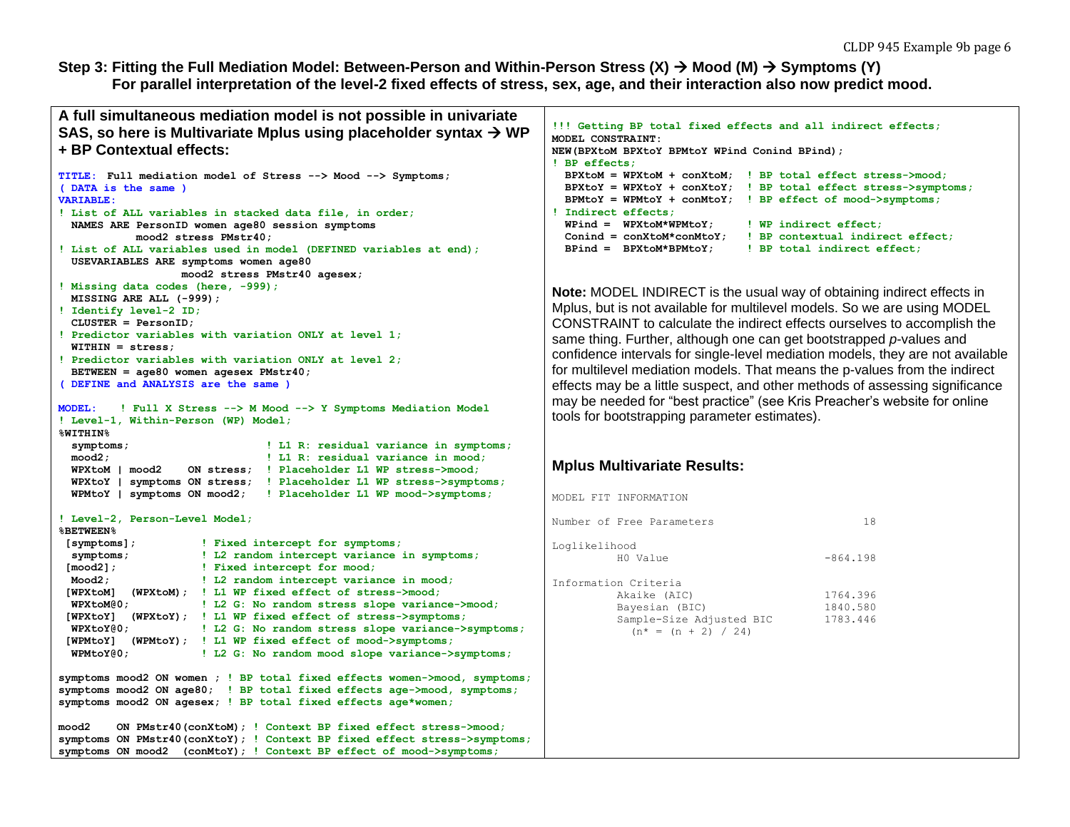#### **Step 3: Fitting the Full Mediation Model: Between-Person and Within-Person Stress (X) → Mood (M) → Symptoms (Y) For parallel interpretation of the level-2 fixed effects of stress, sex, age, and their interaction also now predict mood.**

```
A full simultaneous mediation model is not possible in univariate 
SAS, so here is Multivariate Mplus using placeholder syntax \rightarrow WP
+ BP Contextual effects:
TITLE: Full mediation model of Stress --> Mood --> Symptoms;
( DATA is the same ) 
VARIABLE:
! List of ALL variables in stacked data file, in order;
  NAMES ARE PersonID women age80 session symptoms
            mood2 stress PMstr40;
! List of ALL variables used in model (DEFINED variables at end);
  USEVARIABLES ARE symptoms women age80
                   mood2 stress PMstr40 agesex;
! Missing data codes (here, -999);
  MISSING ARE ALL (-999);
! Identify level-2 ID;
  CLUSTER = PersonID;
! Predictor variables with variation ONLY at level 1;
  WITHIN = stress; 
! Predictor variables with variation ONLY at level 2;
  BETWEEN = age80 women agesex PMstr40;
( DEFINE and ANALYSIS are the same )
MODEL: ! Full X Stress --> M Mood --> Y Symptoms Mediation Model
! Level-1, Within-Person (WP) Model;
%WITHIN% 
  symptoms; ! L1 R: residual variance in symptoms;
  mood2; ! L1 R: residual variance in mood;
  WPXtoM | mood2 ON stress; ! Placeholder L1 WP stress->mood;
  WPXtoY | symptoms ON stress; ! Placeholder L1 WP stress->symptoms;
  WPMtoY | symptoms ON mood2; ! Placeholder L1 WP mood->symptoms;
! Level-2, Person-Level Model; 
%BETWEEN%
 [symptoms]; ! Fixed intercept for symptoms;
 symptoms; ! L2 random intercept variance in symptoms;
 [mood2]; ! Fixed intercept for mood;
 Mood2; ! L2 random intercept variance in mood;
 [WPXtoM] (WPXtoM); ! L1 WP fixed effect of stress->mood;
  WPXtoM@0; ! L2 G: No random stress slope variance->mood;
 [WPXtoY] (WPXtoY); ! L1 WP fixed effect of stress->symptoms;
  WPXtoY@0; ! L2 G: No random stress slope variance->symptoms;
 [WPMtoY] (WPMtoY); ! L1 WP fixed effect of mood->symptoms;
  WPMtoY@0; ! L2 G: No random mood slope variance->symptoms;
symptoms mood2 ON women ; ! BP total fixed effects women->mood, symptoms;
symptoms mood2 ON age80; ! BP total fixed effects age->mood, symptoms;
symptoms mood2 ON agesex; ! BP total fixed effects age*women;
mood2 ON PMstr40(conXtoM); ! Context BP fixed effect stress->mood;
symptoms ON PMstr40(conXtoY); ! Context BP fixed effect stress->symptoms;
symptoms ON mood2 (conMtoY); ! Context BP effect of mood->symptoms;
                                                                         !!! Getting BP total fixed effects and all indirect effects;
                                                                         MODEL CONSTRAINT:
                                                                         NEW(BPXtoM BPXtoY BPMtoY WPind Conind BPind); 
                                                                         ! BP effects;
                                                                           BPXtoM = WPXtoM + conXtoM; ! BP total effect stress->mood;
                                                                           BPXtoY = WPXtoY + conXtoY; ! BP total effect stress->symptoms;
                                                                           BPMtoY = WPMtoY + conMtoY; ! BP effect of mood->symptoms;
                                                                         ! Indirect effects;
                                                                           WPind = WPXtoM*WPMtoY; ! WP indirect effect;
                                                                           Conind = conXtoM*conMtoY; ! BP contextual indirect effect;
                                                                           BPind = BPXtoM*BPMtoY; ! BP total indirect effect; 
                                                                         Note: MODEL INDIRECT is the usual way of obtaining indirect effects in 
                                                                         Mplus, but is not available for multilevel models. So we are using MODEL 
                                                                         CONSTRAINT to calculate the indirect effects ourselves to accomplish the 
                                                                         same thing. Further, although one can get bootstrapped p-values and 
                                                                         confidence intervals for single-level mediation models, they are not available 
                                                                         for multilevel mediation models. That means the p-values from the indirect 
                                                                         effects may be a little suspect, and other methods of assessing significance 
                                                                         may be needed for "best practice" (see Kris Preacher's website for online 
                                                                         tools for bootstrapping parameter estimates).
                                                                         Mplus Multivariate Results:
                                                                         MODEL FIT INFORMATION
                                                                         Number of Free Parameters 18
                                                                         Loglikelihood
                                                                                  H0 Value -864.198
                                                                        Information Criteria
                                                                                  Akaike (AIC) 1764.396
                                                                                Bayesian (BIC) 1840.580
                                                                                Sample-Size Adjusted BIC 1783.446
                                                                                  (n^* = (n + 2) / 24)
```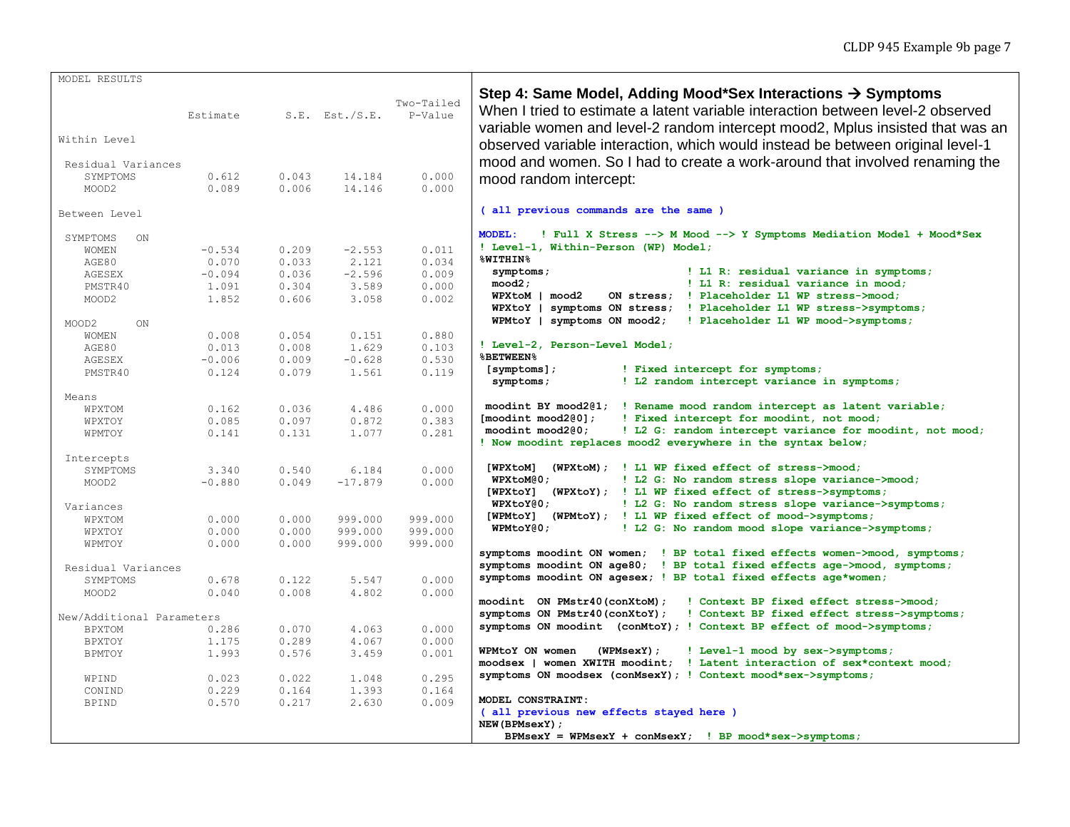| MODEL RESULTS             |          |       |                     |                       |                                                                                                                                                                                                                                                                                                                               |
|---------------------------|----------|-------|---------------------|-----------------------|-------------------------------------------------------------------------------------------------------------------------------------------------------------------------------------------------------------------------------------------------------------------------------------------------------------------------------|
| Within Level              | Estimate |       | $S.E.$ Est./ $S.E.$ | Two-Tailed<br>P-Value | Step 4: Same Model, Adding Mood*Sex Interactions $\rightarrow$ Symptoms<br>When I tried to estimate a latent variable interaction between level-2 observed<br>variable women and level-2 random intercept mood2, Mplus insisted that was an<br>observed variable interaction, which would instead be between original level-1 |
| Residual Variances        |          |       |                     |                       | mood and women. So I had to create a work-around that involved renaming the                                                                                                                                                                                                                                                   |
| SYMPTOMS                  | 0.612    | 0.043 | 14.184              | 0.000                 | mood random intercept:                                                                                                                                                                                                                                                                                                        |
| MOOD2                     | 0.089    | 0.006 | 14.146              | 0.000                 |                                                                                                                                                                                                                                                                                                                               |
| Between Level             |          |       |                     |                       | (all previous commands are the same )                                                                                                                                                                                                                                                                                         |
| SYMPTOMS<br>ON            |          |       |                     |                       | ! Full X Stress --> M Mood --> Y Symptoms Mediation Model + Mood*Sex<br><b>MODEL:</b>                                                                                                                                                                                                                                         |
| <b>WOMEN</b>              | $-0.534$ | 0.209 | $-2.553$            | 0.011                 | ! Level-1, Within-Person (WP) Model;                                                                                                                                                                                                                                                                                          |
| AGE80                     | 0.070    | 0.033 | 2.121               | 0.034                 | %WITHIN%                                                                                                                                                                                                                                                                                                                      |
| AGESEX                    | $-0.094$ | 0.036 | $-2.596$            | 0.009                 | ! L1 R: residual variance in symptoms;<br>symptoms;                                                                                                                                                                                                                                                                           |
| PMSTR40                   | 1.091    | 0.304 | 3.589               | 0.000                 | mood2;<br>! L1 R: residual variance in mood;                                                                                                                                                                                                                                                                                  |
| MOOD <sub>2</sub>         | 1.852    | 0.606 | 3.058               | 0.002                 | ON stress; ! Placeholder L1 WP stress->mood;<br>WPXtoM   mood2                                                                                                                                                                                                                                                                |
| MOOD2<br>ON               |          |       |                     |                       | symptoms ON stress; ! Placeholder L1 WP stress->symptoms;<br>WPXtoY  <br>WPMtoY   symptoms ON mood2;<br>! Placeholder L1 WP mood->symptoms;                                                                                                                                                                                   |
| <b>WOMEN</b>              | 0.008    | 0.054 | 0.151               | 0.880                 |                                                                                                                                                                                                                                                                                                                               |
| AGE80                     | 0.013    | 0.008 | 1.629               | 0.103                 | ! Level-2, Person-Level Model;                                                                                                                                                                                                                                                                                                |
| AGESEX                    | $-0.006$ | 0.009 | $-0.628$            | 0.530                 | <b>%BETWEEN%</b>                                                                                                                                                                                                                                                                                                              |
| PMSTR40                   | 0.124    | 0.079 | 1.561               | 0.119                 | [symptoms];<br>! Fixed intercept for symptoms;                                                                                                                                                                                                                                                                                |
|                           |          |       |                     |                       | ! L2 random intercept variance in symptoms;<br>symptoms;                                                                                                                                                                                                                                                                      |
| Means                     |          |       |                     |                       |                                                                                                                                                                                                                                                                                                                               |
| WPXTOM                    | 0.162    | 0.036 | 4.486               | 0.000                 | moodint BY mood2@1; ! Rename mood random intercept as latent variable;                                                                                                                                                                                                                                                        |
| WPXTOY                    | 0.085    | 0.097 | 0.872               | 0.383                 | [modint mod 2@0]<br>! Fixed intercept for moodint, not mood;                                                                                                                                                                                                                                                                  |
| WPMTOY                    | 0.141    | 0.131 | 1.077               | 0.281                 | $modint$ $mod2@0;$<br>! L2 G: random intercept variance for moodint, not mood;<br>! Now moodint replaces mood2 everywhere in the syntax below;                                                                                                                                                                                |
| Intercepts                |          |       |                     |                       |                                                                                                                                                                                                                                                                                                                               |
| SYMPTOMS                  | 3.340    | 0.540 | 6.184               | 0.000                 | [WPXtoM]<br>(WPXtoM); ! L1 WP fixed effect of stress->mood;                                                                                                                                                                                                                                                                   |
| MOOD2                     | $-0.880$ | 0.049 | $-17.879$           | 0.000                 | $WPK$ toM $@0;$<br>! L2 G: No random stress slope variance->mood;                                                                                                                                                                                                                                                             |
|                           |          |       |                     |                       | [WPXtoY]<br>(WPXtoY); ! L1 WP fixed effect of stress->symptoms;                                                                                                                                                                                                                                                               |
| Variances                 |          |       |                     |                       | ! L2 G: No random stress slope variance->symptoms;<br>WPXtoY@0;                                                                                                                                                                                                                                                               |
| WPXTOM                    | 0.000    | 0.000 | 999.000             | 999.000               | [WPMtoY] (WPMtoY); ! L1 WP fixed effect of mood->symptoms;                                                                                                                                                                                                                                                                    |
| WPXTOY                    | 0.000    | 0.000 | 999.000             | 999.000               | WPMtoY@0;<br>! L2 G: No random mood slope variance->symptoms;                                                                                                                                                                                                                                                                 |
| WPMTOY                    | 0.000    | 0.000 | 999.000             | 999.000               |                                                                                                                                                                                                                                                                                                                               |
|                           |          |       |                     |                       | symptoms moodint ON women; ! BP total fixed effects women->mood, symptoms;                                                                                                                                                                                                                                                    |
| Residual Variances        |          |       |                     |                       | symptoms moodint ON age80; ! BP total fixed effects age->mood, symptoms;                                                                                                                                                                                                                                                      |
| SYMPTOMS                  | 0.678    | 0.122 | 5.547               | 0.000                 | symptoms moodint ON agesex; ! BP total fixed effects age*women;                                                                                                                                                                                                                                                               |
| MOOD2                     | 0.040    | 0.008 | 4.802               | 0.000                 |                                                                                                                                                                                                                                                                                                                               |
|                           |          |       |                     |                       | moodint ON PMstr40(conXtoM);<br>! Context BP fixed effect stress->mood;                                                                                                                                                                                                                                                       |
| New/Additional Parameters |          |       |                     |                       | symptoms ON PMstr40(conXtoY);<br>! Context BP fixed effect stress->symptoms;                                                                                                                                                                                                                                                  |
| <b>BPXTOM</b>             | 0.286    | 0.070 | 4.063               | 0.000                 | symptoms ON moodint (conMtoY); ! Context BP effect of mood->symptoms;                                                                                                                                                                                                                                                         |
| BPXTOY                    | 1.175    | 0.289 | 4.067               | 0.000                 |                                                                                                                                                                                                                                                                                                                               |
| <b>BPMTOY</b>             | 1.993    | 0.576 | 3.459               | 0.001                 | WPMtoY ON women<br>(WPMsexY);<br>! Level-1 mood by sex->symptoms;                                                                                                                                                                                                                                                             |
|                           |          |       |                     |                       |                                                                                                                                                                                                                                                                                                                               |
| WPIND                     | 0.023    | 0.022 | 1.048               | 0.295                 | symptoms ON moodsex (conMsexY); ! Context mood*sex->symptoms;                                                                                                                                                                                                                                                                 |
| CONIND                    | 0.229    | 0.164 | 1.393               | 0.164                 |                                                                                                                                                                                                                                                                                                                               |
| <b>BPIND</b>              | 0.570    | 0.217 | 2.630               | 0.009                 | MODEL CONSTRAINT:<br>(all previous new effects stayed here )<br>NEW (BPMsexY) ;                                                                                                                                                                                                                                               |
|                           |          |       |                     |                       | BPMsexY = WPMsexY + $conMsexY$ ; ! BP $mod*sex$ ->symptoms;                                                                                                                                                                                                                                                                   |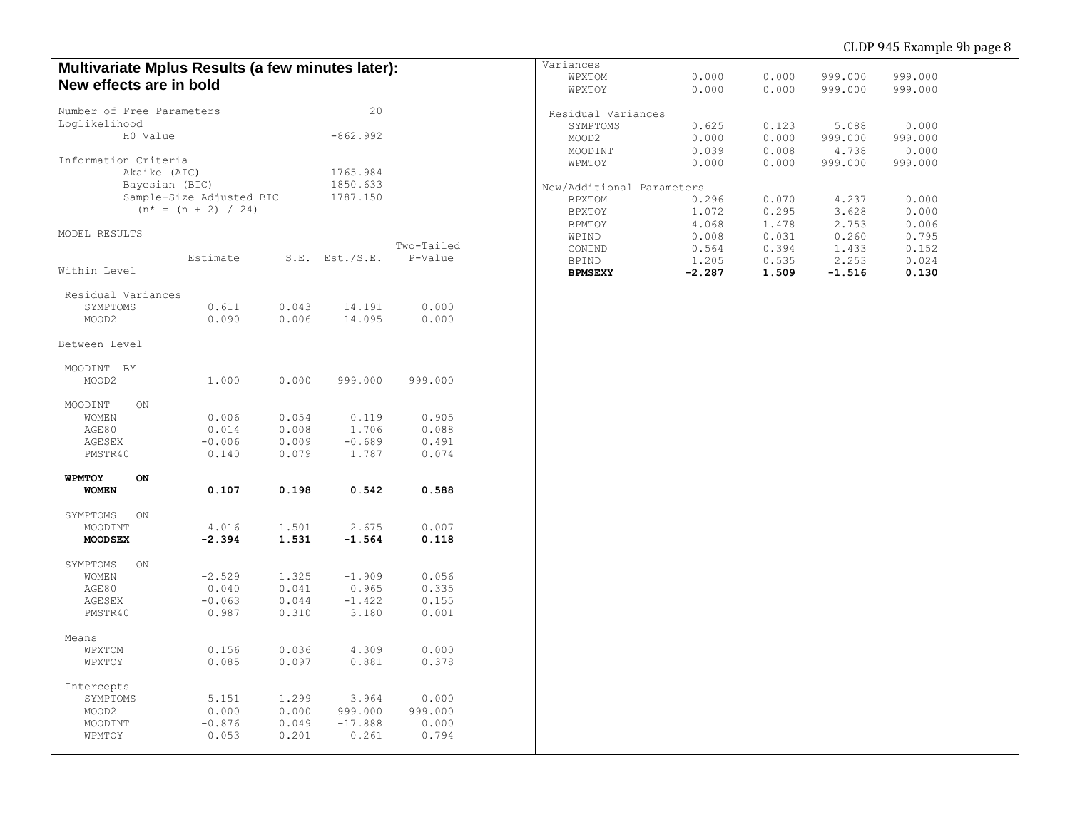## CLDP 945 Example 9b page 8

| Multivariate Mplus Results (a few minutes later): |                          |       |                     |            | Variances                                                |  |
|---------------------------------------------------|--------------------------|-------|---------------------|------------|----------------------------------------------------------|--|
|                                                   |                          |       |                     |            | 0.000<br>999.000<br>999.000<br>WPXTOM<br>0.000           |  |
| New effects are in bold                           |                          |       |                     |            | WPXTOY<br>0.000<br>0.000<br>999.000<br>999.000           |  |
| Number of Free Parameters                         |                          |       | 20                  |            | Residual Variances                                       |  |
| Loglikelihood                                     |                          |       |                     |            | SYMPTOMS<br>0.625<br>0.123<br>5.088<br>0.000             |  |
| H0 Value                                          |                          |       | $-862.992$          |            | 0.000<br>0.000<br>999.000<br>999.000<br>MOOD2            |  |
|                                                   |                          |       |                     |            | 0.039<br>0.008<br>4.738<br>0.000                         |  |
| Information Criteria                              |                          |       |                     |            | MOODINT                                                  |  |
| Akaike (AIC)<br>1765.984                          |                          |       |                     |            | 999.000<br>WPMTOY<br>0.000<br>0.000<br>999.000           |  |
| Bayesian (BIC)                                    |                          |       |                     |            |                                                          |  |
|                                                   |                          |       | 1850.633            |            | New/Additional Parameters                                |  |
|                                                   | Sample-Size Adjusted BIC |       | 1787.150            |            | 0.070<br>4.237<br>0.000<br><b>BPXTOM</b><br>0.296        |  |
|                                                   | $(n^* = (n + 2) / 24)$   |       |                     |            | BPXTOY<br>1.072<br>0.295<br>3.628<br>0.000               |  |
|                                                   |                          |       |                     |            | BPMTOY<br>4.068<br>1.478<br>2.753<br>0.006               |  |
| MODEL RESULTS                                     |                          |       |                     |            | 0.008<br>0.031<br>0.260<br>0.795<br>WPIND                |  |
|                                                   |                          |       |                     | Two-Tailed | 0.564<br>0.394<br>1.433<br>0.152<br>CONIND               |  |
|                                                   | Estimate                 |       | $S.E.$ Est./ $S.E.$ | P-Value    | 1.205<br>0.535<br>2.253<br>0.024<br><b>BPIND</b>         |  |
| Within Level                                      |                          |       |                     |            | <b>BPMSEXY</b><br>$-2.287$<br>1.509<br>$-1.516$<br>0.130 |  |
|                                                   |                          |       |                     |            |                                                          |  |
| Residual Variances                                |                          |       |                     |            |                                                          |  |
| SYMPTOMS                                          | 0.611                    | 0.043 | 14.191              | 0.000      |                                                          |  |
| MOOD2                                             | 0.090                    | 0.006 | 14.095              | 0.000      |                                                          |  |
|                                                   |                          |       |                     |            |                                                          |  |
| Between Level                                     |                          |       |                     |            |                                                          |  |
|                                                   |                          |       |                     |            |                                                          |  |
| MOODINT BY                                        |                          |       |                     |            |                                                          |  |
| MOOD2                                             | 1.000                    | 0.000 | 999.000             | 999.000    |                                                          |  |
|                                                   |                          |       |                     |            |                                                          |  |
| MOODINT<br>ON                                     |                          |       |                     |            |                                                          |  |
| <b>WOMEN</b>                                      | 0.006                    | 0.054 | 0.119               | 0.905      |                                                          |  |
| AGE80                                             | 0.014                    | 0.008 | 1.706               | 0.088      |                                                          |  |
| AGESEX                                            | $-0.006$                 | 0.009 | $-0.689$            | 0.491      |                                                          |  |
| PMSTR40                                           | 0.140                    | 0.079 | 1.787               | 0.074      |                                                          |  |
|                                                   |                          |       |                     |            |                                                          |  |
| WPMTOY<br>ON                                      |                          |       |                     |            |                                                          |  |
| <b>WOMEN</b>                                      | 0.107                    | 0.198 | 0.542               | 0.588      |                                                          |  |
|                                                   |                          |       |                     |            |                                                          |  |
| SYMPTOMS<br>ON                                    |                          |       |                     |            |                                                          |  |
| MOODINT                                           | 4.016                    | 1.501 | 2.675               | 0.007      |                                                          |  |
| <b>MOODSEX</b>                                    | $-2.394$                 | 1.531 | $-1.564$            | 0.118      |                                                          |  |
|                                                   |                          |       |                     |            |                                                          |  |
| SYMPTOMS<br>ON                                    |                          |       |                     |            |                                                          |  |
| WOMEN                                             | $-2.529$                 | 1.325 | $-1.909$            | 0.056      |                                                          |  |
| AGE80                                             | 0.040                    | 0.041 | 0.965               | 0.335      |                                                          |  |
| AGESEX                                            | $-0.063$                 | 0.044 | $-1.422$            | 0.155      |                                                          |  |
| PMSTR40                                           | 0.987                    | 0.310 | 3.180               | 0.001      |                                                          |  |
|                                                   |                          |       |                     |            |                                                          |  |
| Means                                             |                          |       |                     |            |                                                          |  |
| WPXTOM                                            | 0.156                    | 0.036 | 4.309               | 0.000      |                                                          |  |
| WPXTOY                                            | 0.085                    | 0.097 | 0.881               | 0.378      |                                                          |  |
|                                                   |                          |       |                     |            |                                                          |  |
|                                                   |                          |       |                     |            |                                                          |  |
| Intercepts                                        |                          |       |                     |            |                                                          |  |
| SYMPTOMS                                          | 5.151                    | 1.299 | 3.964               | 0.000      |                                                          |  |
| MOOD2                                             | 0.000                    | 0.000 | 999.000             | 999.000    |                                                          |  |
| MOODINT                                           | $-0.876$                 | 0.049 | $-17.888$           | 0.000      |                                                          |  |
| WPMTOY                                            | 0.053                    | 0.201 | 0.261               | 0.794      |                                                          |  |
|                                                   |                          |       |                     |            |                                                          |  |